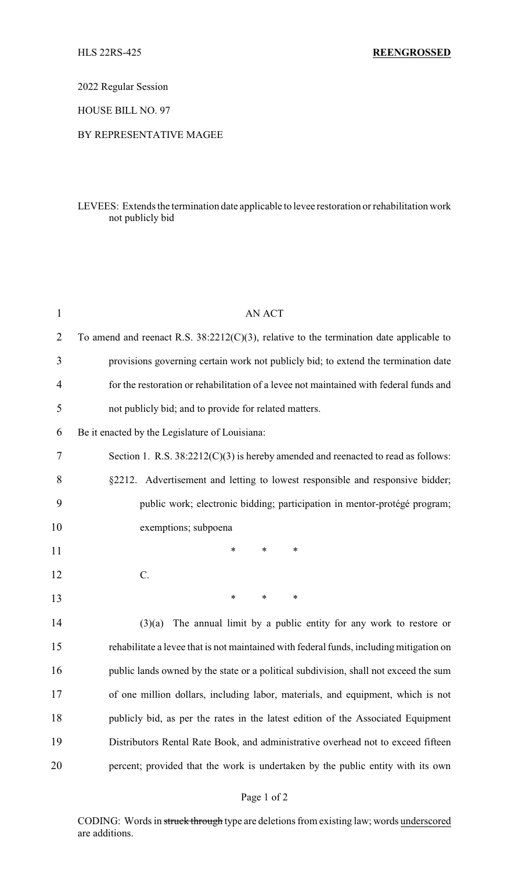2022 Regular Session

HOUSE BILL NO. 97

## BY REPRESENTATIVE MAGEE

## LEVEES: Extends the termination date applicable to levee restoration or rehabilitation work not publicly bid

| $\mathbf{1}$   | <b>AN ACT</b>                                                                              |
|----------------|--------------------------------------------------------------------------------------------|
| $\overline{2}$ | To amend and reenact R.S. $38:2212(C)(3)$ , relative to the termination date applicable to |
| 3              | provisions governing certain work not publicly bid; to extend the termination date         |
| 4              | for the restoration or rehabilitation of a levee not maintained with federal funds and     |
| 5              | not publicly bid; and to provide for related matters.                                      |
| 6              | Be it enacted by the Legislature of Louisiana:                                             |
| 7              | Section 1. R.S. $38:2212(C)(3)$ is hereby amended and reenacted to read as follows:        |
| 8              | §2212. Advertisement and letting to lowest responsible and responsive bidder;              |
| 9              | public work; electronic bidding; participation in mentor-protégé program;                  |
| 10             | exemptions; subpoena                                                                       |
| 11             | *<br>∗<br>∗                                                                                |
| 12             | C.                                                                                         |
| 13             | $\ast$<br>$\ast$<br>∗                                                                      |
| 14             | The annual limit by a public entity for any work to restore or<br>(3)(a)                   |
| 15             | rehabilitate a levee that is not maintained with federal funds, including mitigation on    |
| 16             | public lands owned by the state or a political subdivision, shall not exceed the sum       |
| 17             | of one million dollars, including labor, materials, and equipment, which is not            |
| 18             | publicly bid, as per the rates in the latest edition of the Associated Equipment           |
| 19             | Distributors Rental Rate Book, and administrative overhead not to exceed fifteen           |
| 20             | percent; provided that the work is undertaken by the public entity with its own            |
|                |                                                                                            |

CODING: Words in struck through type are deletions from existing law; words underscored are additions.